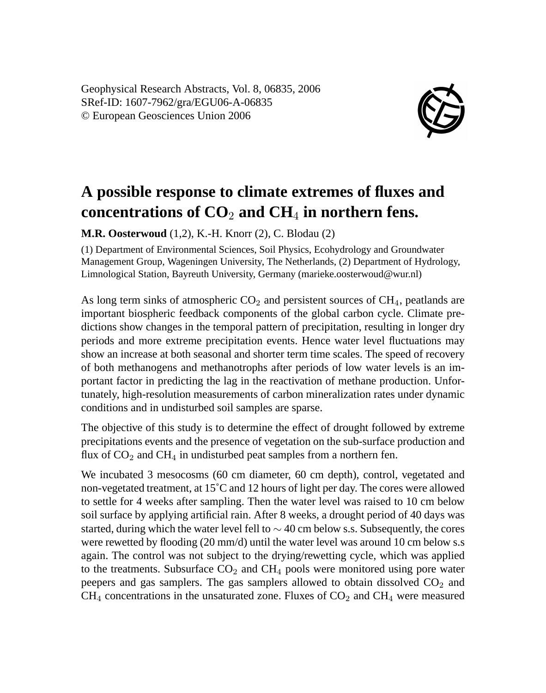Geophysical Research Abstracts, Vol. 8, 06835, 2006 SRef-ID: 1607-7962/gra/EGU06-A-06835 © European Geosciences Union 2006



## **A possible response to climate extremes of fluxes and concentrations of CO**<sup>2</sup> **and CH**<sup>4</sup> **in northern fens.**

**M.R. Oosterwoud** (1,2), K.-H. Knorr (2), C. Blodau (2)

(1) Department of Environmental Sciences, Soil Physics, Ecohydrology and Groundwater Management Group, Wageningen University, The Netherlands, (2) Department of Hydrology, Limnological Station, Bayreuth University, Germany (marieke.oosterwoud@wur.nl)

As long term sinks of atmospheric  $CO<sub>2</sub>$  and persistent sources of CH<sub>4</sub>, peatlands are important biospheric feedback components of the global carbon cycle. Climate predictions show changes in the temporal pattern of precipitation, resulting in longer dry periods and more extreme precipitation events. Hence water level fluctuations may show an increase at both seasonal and shorter term time scales. The speed of recovery of both methanogens and methanotrophs after periods of low water levels is an important factor in predicting the lag in the reactivation of methane production. Unfortunately, high-resolution measurements of carbon mineralization rates under dynamic conditions and in undisturbed soil samples are sparse.

The objective of this study is to determine the effect of drought followed by extreme precipitations events and the presence of vegetation on the sub-surface production and flux of  $CO<sub>2</sub>$  and  $CH<sub>4</sub>$  in undisturbed peat samples from a northern fen.

We incubated 3 mesocosms (60 cm diameter, 60 cm depth), control, vegetated and non-vegetated treatment, at 15˚C and 12 hours of light per day. The cores were allowed to settle for 4 weeks after sampling. Then the water level was raised to 10 cm below soil surface by applying artificial rain. After 8 weeks, a drought period of 40 days was started, during which the water level fell to  $\sim$  40 cm below s.s. Subsequently, the cores were rewetted by flooding (20 mm/d) until the water level was around 10 cm below s.s again. The control was not subject to the drying/rewetting cycle, which was applied to the treatments. Subsurface  $CO<sub>2</sub>$  and  $CH<sub>4</sub>$  pools were monitored using pore water peepers and gas samplers. The gas samplers allowed to obtain dissolved  $CO<sub>2</sub>$  and  $CH_4$  concentrations in the unsaturated zone. Fluxes of  $CO_2$  and  $CH_4$  were measured